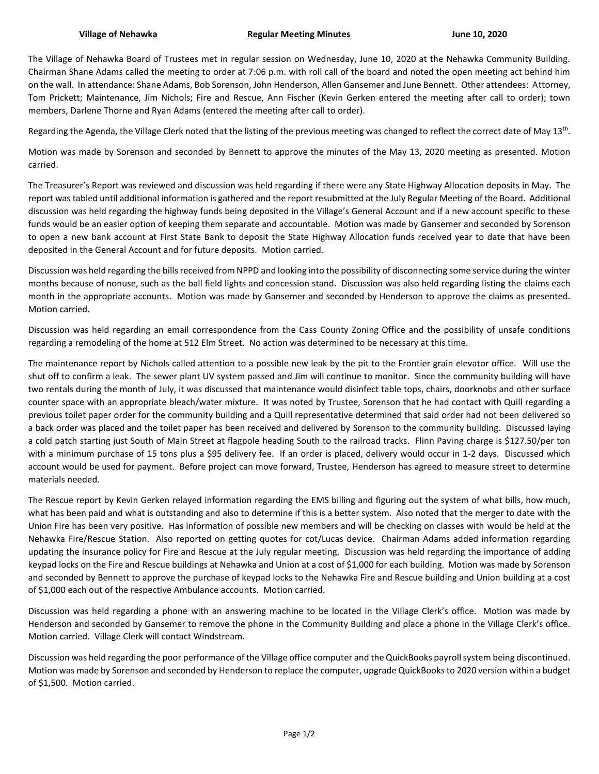The Village of Nehawka Board of Trustees met in regular session on Wednesday, June 10, 2020 at the Nehawka Community Building. Chairman Shane Adams called the meeting to order at 7:06 p.m. with roll call of the board and noted the open meeting act behind him on the wall. In attendance: Shane Adams, Bob Sorenson, John Henderson, Allen Gansemer and June Bennett. Other attendees: Attorney, Tom Prickett; Maintenance, Jim Nichols; Fire and Rescue, Ann Fischer (Kevin Gerken entered the meeting after call to order); town members, Darlene Thorne and Ryan Adams (entered the meeting after call to order).

Regarding the Agenda, the Village Clerk noted that the listing of the previous meeting was changed to reflect the correct date of May 13<sup>th</sup>.

Motion was made by Sorenson and seconded by Bennett to approve the minutes of the May 13, 2020 meeting as presented. Motion carried.

The Treasurer's Report was reviewed and discussion was held regarding if there were any State Highway Allocation deposits in May. The report was tabled until additional information is gathered and the report resubmitted at the July Regular Meeting of the Board. Additional discussion was held regarding the highway funds being deposited in the Village's General Account and if a new account specific to these funds would be an easier option of keeping them separate and accountable. Motion was made by Gansemer and seconded by Sorenson to open a new bank account at First State Bank to deposit the State Highway Allocation funds received year to date that have been deposited in the General Account and for future deposits. Motion carried.

Discussion was held regarding the bills received from NPPD and looking into the possibility of disconnecting some service during the winter months because of nonuse, such as the ball field lights and concession stand. Discussion was also held regarding listing the claims each month in the appropriate accounts. Motion was made by Gansemer and seconded by Henderson to approve the claims as presented. Motion carried.

Discussion was held regarding an email correspondence from the Cass County Zoning Office and the possibility of unsafe conditions regarding a remodeling of the home at 512 Elm Street. No action was determined to be necessary at this time.

The maintenance report by Nichols called attention to a possible new leak by the pit to the Frontier grain elevator office. Will use the shut off to confirm a leak. The sewer plant UV system passed and Jim will continue to monitor. Since the community building will have two rentals during the month of July, it was discussed that maintenance would disinfect table tops, chairs, doorknobs and other surface counter space with an appropriate bleach/water mixture. It was noted by Trustee, Sorenson that he had contact with Quill regarding a previous toilet paper order for the community building and a Quill representative determined that said order had not been delivered so a back order was placed and the toilet paper has been received and delivered by Sorenson to the community building. Discussed laying a cold patch starting just South of Main Street at flagpole heading South to the railroad tracks. Flinn Paving charge is \$127.50/per ton with a minimum purchase of 15 tons plus a \$95 delivery fee. If an order is placed, delivery would occur in 1-2 days. Discussed which account would be used for payment. Before project can move forward, Trustee, Henderson has agreed to measure street to determine materials needed.

The Rescue report by Kevin Gerken relayed information regarding the EMS billing and figuring out the system of what bills, how much, what has been paid and what is outstanding and also to determine if this is a better system. Also noted that the merger to date with the Union Fire has been very positive. Has information of possible new members and will be checking on classes with would be held at the Nehawka Fire/Rescue Station. Also reported on getting quotes for cot/Lucas device. Chairman Adams added information regarding updating the insurance policy for Fire and Rescue at the July regular meeting. Discussion was held regarding the importance of adding keypad locks on the Fire and Rescue buildings at Nehawka and Union at a cost of \$1,000 for each building. Motion was made by Sorenson and seconded by Bennett to approve the purchase of keypad locks to the Nehawka Fire and Rescue building and Union building at a cost of \$1,000 each out of the respective Ambulance accounts. Motion carried.

Discussion was held regarding a phone with an answering machine to be located in the Village Clerk's office. Motion was made by Henderson and seconded by Gansemer to remove the phone in the Community Building and place a phone in the Village Clerk's office. Motion carried. Village Clerk will contact Windstream.

Discussion was held regarding the poor performance of the Village office computer and the QuickBooks payroll system being discontinued. Motion was made by Sorenson and seconded by Henderson to replace the computer, upgrade QuickBooks to 2020 version within a budget of \$1,500. Motion carried.